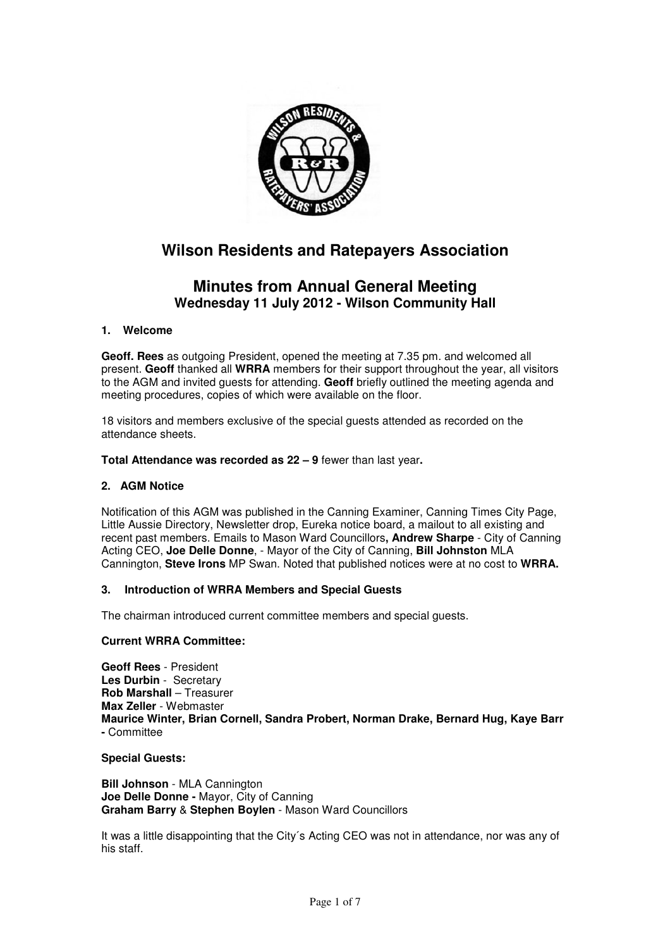

# **Wilson Residents and Ratepayers Association**

# **Minutes from Annual General Meeting Wednesday 11 July 2012 - Wilson Community Hall**

# **1. Welcome**

**Geoff. Rees** as outgoing President, opened the meeting at 7.35 pm. and welcomed all present. **Geoff** thanked all **WRRA** members for their support throughout the year, all visitors to the AGM and invited guests for attending. **Geoff** briefly outlined the meeting agenda and meeting procedures, copies of which were available on the floor.

18 visitors and members exclusive of the special guests attended as recorded on the attendance sheets.

**Total Attendance was recorded as 22 – 9** fewer than last year**.** 

# **2. AGM Notice**

Notification of this AGM was published in the Canning Examiner, Canning Times City Page, Little Aussie Directory, Newsletter drop, Eureka notice board, a mailout to all existing and recent past members. Emails to Mason Ward Councillors**, Andrew Sharpe** - City of Canning Acting CEO, **Joe Delle Donne**, - Mayor of the City of Canning, **Bill Johnston** MLA Cannington, **Steve Irons** MP Swan. Noted that published notices were at no cost to **WRRA.** 

# **3. Introduction of WRRA Members and Special Guests**

The chairman introduced current committee members and special guests.

# **Current WRRA Committee:**

**Geoff Rees** - President **Les Durbin** - Secretary **Rob Marshall** – Treasurer **Max Zeller** - Webmaster **Maurice Winter, Brian Cornell, Sandra Probert, Norman Drake, Bernard Hug, Kaye Barr -** Committee

#### **Special Guests:**

**Bill Johnson** - MLA Cannington **Joe Delle Donne -** Mayor, City of Canning **Graham Barry** & **Stephen Boylen** - Mason Ward Councillors

It was a little disappointing that the City´s Acting CEO was not in attendance, nor was any of his staff.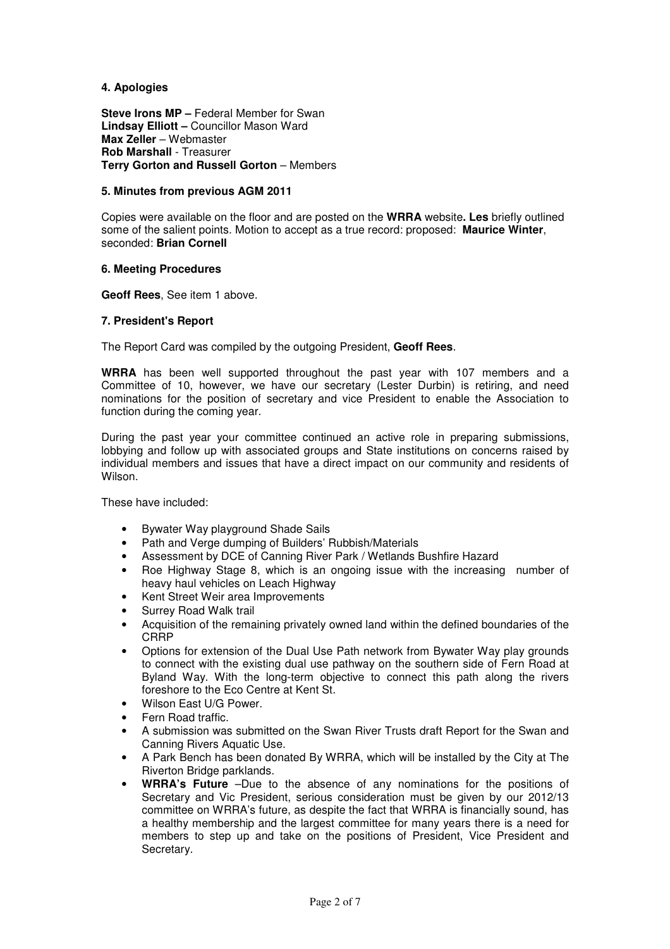# **4. Apologies**

**Steve Irons MP** – Federal Member for Swan **Lindsay Elliott –** Councillor Mason Ward **Max Zeller** – Webmaster **Rob Marshall** - Treasurer **Terry Gorton and Russell Gorton** – Members

# **5. Minutes from previous AGM 2011**

Copies were available on the floor and are posted on the **WRRA** website**. Les** briefly outlined some of the salient points. Motion to accept as a true record: proposed: **Maurice Winter**, seconded: **Brian Cornell** 

#### **6. Meeting Procedures**

**Geoff Rees**, See item 1 above.

#### **7. President's Report**

The Report Card was compiled by the outgoing President, **Geoff Rees**.

**WRRA** has been well supported throughout the past year with 107 members and a Committee of 10, however, we have our secretary (Lester Durbin) is retiring, and need nominations for the position of secretary and vice President to enable the Association to function during the coming year.

During the past year your committee continued an active role in preparing submissions, lobbying and follow up with associated groups and State institutions on concerns raised by individual members and issues that have a direct impact on our community and residents of Wilson.

These have included:

- Bywater Way playground Shade Sails
- Path and Verge dumping of Builders' Rubbish/Materials
- Assessment by DCE of Canning River Park / Wetlands Bushfire Hazard
- Roe Highway Stage 8, which is an ongoing issue with the increasing number of heavy haul vehicles on Leach Highway
- Kent Street Weir area Improvements
- Surrey Road Walk trail
- Acquisition of the remaining privately owned land within the defined boundaries of the **CRRP**
- Options for extension of the Dual Use Path network from Bywater Way play grounds to connect with the existing dual use pathway on the southern side of Fern Road at Byland Way. With the long-term objective to connect this path along the rivers foreshore to the Eco Centre at Kent St.
- Wilson East U/G Power.
- Fern Road traffic.
- A submission was submitted on the Swan River Trusts draft Report for the Swan and Canning Rivers Aquatic Use.
- A Park Bench has been donated By WRRA, which will be installed by the City at The Riverton Bridge parklands.
- **WRRA's Future** –Due to the absence of any nominations for the positions of Secretary and Vic President, serious consideration must be given by our 2012/13 committee on WRRA's future, as despite the fact that WRRA is financially sound, has a healthy membership and the largest committee for many years there is a need for members to step up and take on the positions of President, Vice President and Secretary.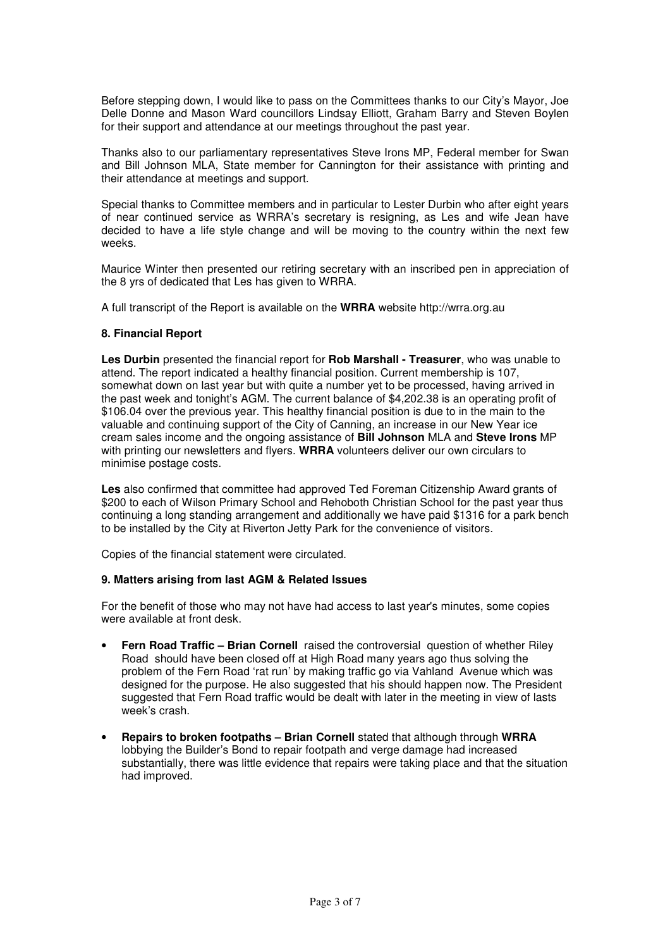Before stepping down, I would like to pass on the Committees thanks to our City's Mayor, Joe Delle Donne and Mason Ward councillors Lindsay Elliott, Graham Barry and Steven Boylen for their support and attendance at our meetings throughout the past year.

Thanks also to our parliamentary representatives Steve Irons MP, Federal member for Swan and Bill Johnson MLA, State member for Cannington for their assistance with printing and their attendance at meetings and support.

Special thanks to Committee members and in particular to Lester Durbin who after eight years of near continued service as WRRA's secretary is resigning, as Les and wife Jean have decided to have a life style change and will be moving to the country within the next few weeks.

Maurice Winter then presented our retiring secretary with an inscribed pen in appreciation of the 8 yrs of dedicated that Les has given to WRRA.

A full transcript of the Report is available on the **WRRA** website http://wrra.org.au

# **8. Financial Report**

**Les Durbin** presented the financial report for **Rob Marshall - Treasurer**, who was unable to attend. The report indicated a healthy financial position. Current membership is 107, somewhat down on last year but with quite a number yet to be processed, having arrived in the past week and tonight's AGM. The current balance of \$4,202.38 is an operating profit of \$106.04 over the previous year. This healthy financial position is due to in the main to the valuable and continuing support of the City of Canning, an increase in our New Year ice cream sales income and the ongoing assistance of **Bill Johnson** MLA and **Steve Irons** MP with printing our newsletters and flyers. **WRRA** volunteers deliver our own circulars to minimise postage costs.

**Les** also confirmed that committee had approved Ted Foreman Citizenship Award grants of \$200 to each of Wilson Primary School and Rehoboth Christian School for the past year thus continuing a long standing arrangement and additionally we have paid \$1316 for a park bench to be installed by the City at Riverton Jetty Park for the convenience of visitors.

Copies of the financial statement were circulated.

#### **9. Matters arising from last AGM & Related Issues**

For the benefit of those who may not have had access to last year's minutes, some copies were available at front desk.

- **Fern Road Traffic Brian Cornell** raised the controversial question of whether Riley Road should have been closed off at High Road many years ago thus solving the problem of the Fern Road 'rat run' by making traffic go via Vahland Avenue which was designed for the purpose. He also suggested that his should happen now. The President suggested that Fern Road traffic would be dealt with later in the meeting in view of lasts week's crash.
- **Repairs to broken footpaths Brian Cornell** stated that although through **WRRA**  lobbying the Builder's Bond to repair footpath and verge damage had increased substantially, there was little evidence that repairs were taking place and that the situation had improved.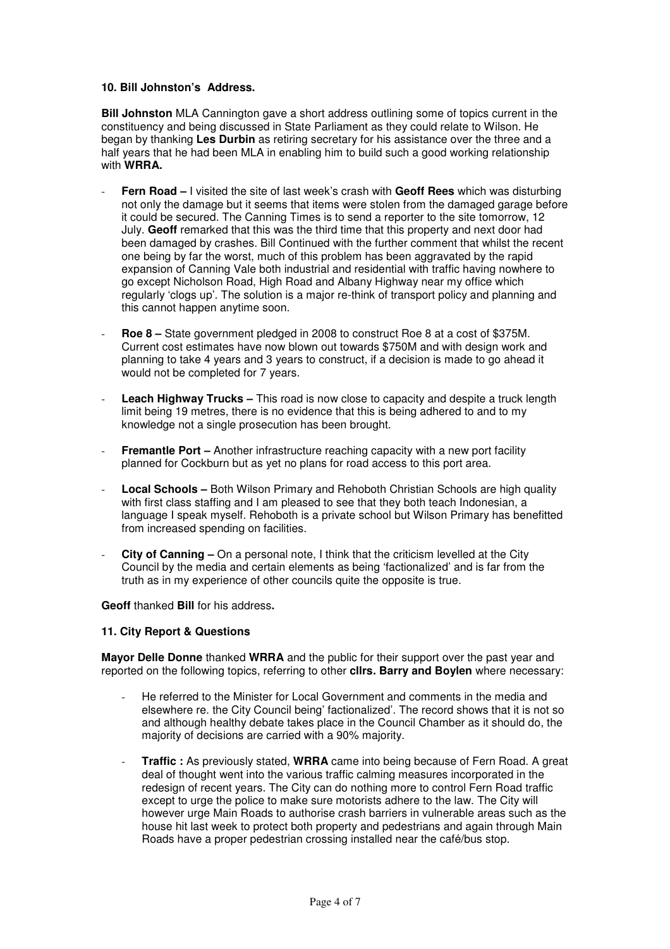#### **10. Bill Johnston's Address.**

**Bill Johnston** MLA Cannington gave a short address outlining some of topics current in the constituency and being discussed in State Parliament as they could relate to Wilson. He began by thanking **Les Durbin** as retiring secretary for his assistance over the three and a half years that he had been MLA in enabling him to build such a good working relationship with **WRRA.**

- **Fern Road** I visited the site of last week's crash with **Geoff Rees** which was disturbing not only the damage but it seems that items were stolen from the damaged garage before it could be secured. The Canning Times is to send a reporter to the site tomorrow, 12 July. **Geoff** remarked that this was the third time that this property and next door had been damaged by crashes. Bill Continued with the further comment that whilst the recent one being by far the worst, much of this problem has been aggravated by the rapid expansion of Canning Vale both industrial and residential with traffic having nowhere to go except Nicholson Road, High Road and Albany Highway near my office which regularly 'clogs up'. The solution is a major re-think of transport policy and planning and this cannot happen anytime soon.
- **Roe 8** State government pledged in 2008 to construct Roe 8 at a cost of \$375M. Current cost estimates have now blown out towards \$750M and with design work and planning to take 4 years and 3 years to construct, if a decision is made to go ahead it would not be completed for 7 years.
- **Leach Highway Trucks –** This road is now close to capacity and despite a truck length limit being 19 metres, there is no evidence that this is being adhered to and to my knowledge not a single prosecution has been brought.
- **Fremantle Port** Another infrastructure reaching capacity with a new port facility planned for Cockburn but as yet no plans for road access to this port area.
- Local Schools Both Wilson Primary and Rehoboth Christian Schools are high quality with first class staffing and I am pleased to see that they both teach Indonesian, a language I speak myself. Rehoboth is a private school but Wilson Primary has benefitted from increased spending on facilities.
- **City of Canning** On a personal note, I think that the criticism levelled at the City Council by the media and certain elements as being 'factionalized' and is far from the truth as in my experience of other councils quite the opposite is true.

**Geoff** thanked **Bill** for his address**.** 

#### **11. City Report & Questions**

**Mayor Delle Donne** thanked **WRRA** and the public for their support over the past year and reported on the following topics, referring to other **cllrs. Barry and Boylen** where necessary:

- He referred to the Minister for Local Government and comments in the media and elsewhere re. the City Council being' factionalized'. The record shows that it is not so and although healthy debate takes place in the Council Chamber as it should do, the majority of decisions are carried with a 90% majority.
- **Traffic :** As previously stated, **WRRA** came into being because of Fern Road. A great deal of thought went into the various traffic calming measures incorporated in the redesign of recent years. The City can do nothing more to control Fern Road traffic except to urge the police to make sure motorists adhere to the law. The City will however urge Main Roads to authorise crash barriers in vulnerable areas such as the house hit last week to protect both property and pedestrians and again through Main Roads have a proper pedestrian crossing installed near the café/bus stop.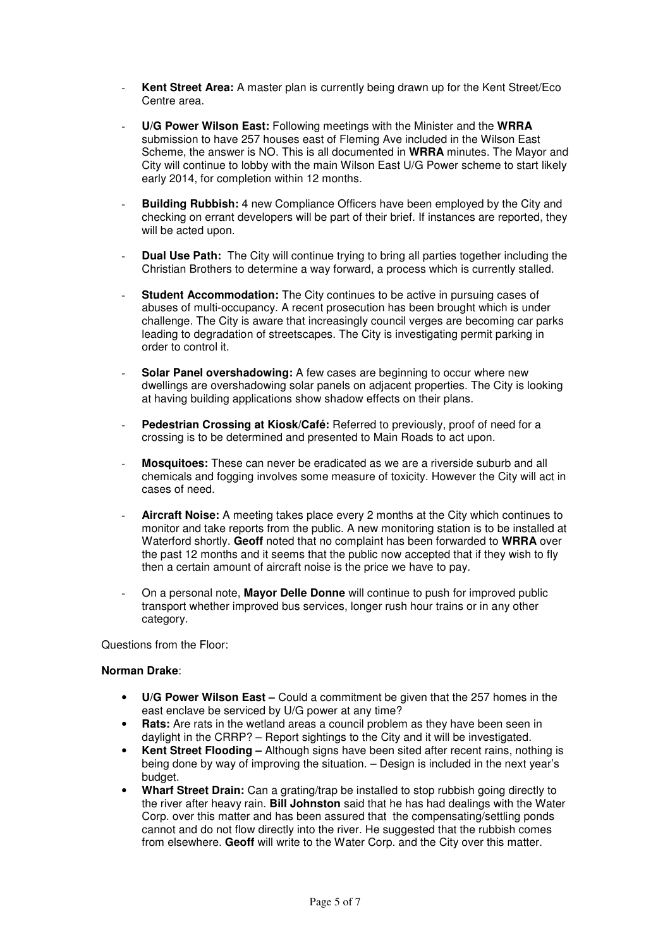- Kent Street Area: A master plan is currently being drawn up for the Kent Street/Eco Centre area.
- **U/G Power Wilson East:** Following meetings with the Minister and the **WRRA**  submission to have 257 houses east of Fleming Ave included in the Wilson East Scheme, the answer is NO. This is all documented in **WRRA** minutes. The Mayor and City will continue to lobby with the main Wilson East U/G Power scheme to start likely early 2014, for completion within 12 months.
- **Building Rubbish:** 4 new Compliance Officers have been employed by the City and checking on errant developers will be part of their brief. If instances are reported, they will be acted upon.
- **Dual Use Path:** The City will continue trying to bring all parties together including the Christian Brothers to determine a way forward, a process which is currently stalled.
- **Student Accommodation:** The City continues to be active in pursuing cases of abuses of multi-occupancy. A recent prosecution has been brought which is under challenge. The City is aware that increasingly council verges are becoming car parks leading to degradation of streetscapes. The City is investigating permit parking in order to control it.
- **Solar Panel overshadowing:** A few cases are beginning to occur where new dwellings are overshadowing solar panels on adjacent properties. The City is looking at having building applications show shadow effects on their plans.
- Pedestrian Crossing at Kiosk/Café: Referred to previously, proof of need for a crossing is to be determined and presented to Main Roads to act upon.
- **Mosquitoes:** These can never be eradicated as we are a riverside suburb and all chemicals and fogging involves some measure of toxicity. However the City will act in cases of need.
- **Aircraft Noise:** A meeting takes place every 2 months at the City which continues to monitor and take reports from the public. A new monitoring station is to be installed at Waterford shortly. **Geoff** noted that no complaint has been forwarded to **WRRA** over the past 12 months and it seems that the public now accepted that if they wish to fly then a certain amount of aircraft noise is the price we have to pay.
- On a personal note, **Mayor Delle Donne** will continue to push for improved public transport whether improved bus services, longer rush hour trains or in any other category.

Questions from the Floor:

#### **Norman Drake**:

- **U/G Power Wilson East** Could a commitment be given that the 257 homes in the east enclave be serviced by U/G power at any time?
- **Rats:** Are rats in the wetland areas a council problem as they have been seen in daylight in the CRRP? – Report sightings to the City and it will be investigated.
- **Kent Street Flooding –** Although signs have been sited after recent rains, nothing is being done by way of improving the situation. – Design is included in the next year's budget.
- **Wharf Street Drain:** Can a grating/trap be installed to stop rubbish going directly to the river after heavy rain. **Bill Johnston** said that he has had dealings with the Water Corp. over this matter and has been assured that the compensating/settling ponds cannot and do not flow directly into the river. He suggested that the rubbish comes from elsewhere. **Geoff** will write to the Water Corp. and the City over this matter.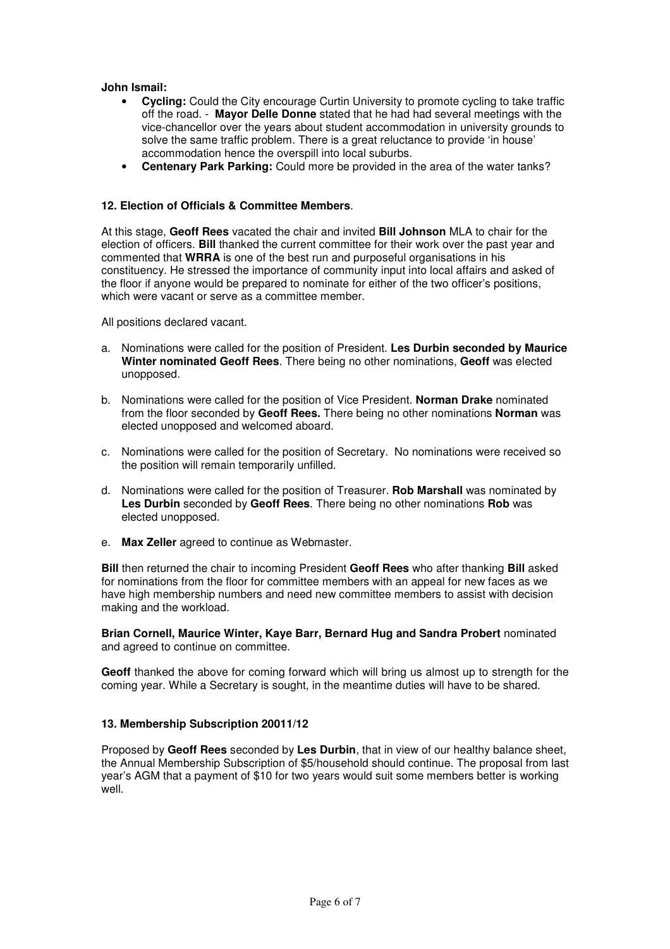# **John Ismail:**

- **Cycling:** Could the City encourage Curtin University to promote cycling to take traffic off the road. - **Mayor Delle Donne** stated that he had had several meetings with the vice-chancellor over the years about student accommodation in university grounds to solve the same traffic problem. There is a great reluctance to provide 'in house' accommodation hence the overspill into local suburbs.
- **Centenary Park Parking:** Could more be provided in the area of the water tanks?

#### **12. Election of Officials & Committee Members**.

At this stage, **Geoff Rees** vacated the chair and invited **Bill Johnson** MLA to chair for the election of officers. **Bill** thanked the current committee for their work over the past year and commented that **WRRA** is one of the best run and purposeful organisations in his constituency. He stressed the importance of community input into local affairs and asked of the floor if anyone would be prepared to nominate for either of the two officer's positions, which were vacant or serve as a committee member.

All positions declared vacant.

- a. Nominations were called for the position of President. **Les Durbin seconded by Maurice Winter nominated Geoff Rees**. There being no other nominations, **Geoff** was elected unopposed.
- b. Nominations were called for the position of Vice President. **Norman Drake** nominated from the floor seconded by **Geoff Rees.** There being no other nominations **Norman** was elected unopposed and welcomed aboard.
- c. Nominations were called for the position of Secretary. No nominations were received so the position will remain temporarily unfilled.
- d. Nominations were called for the position of Treasurer. **Rob Marshall** was nominated by **Les Durbin** seconded by **Geoff Rees**. There being no other nominations **Rob** was elected unopposed.
- e. **Max Zeller** agreed to continue as Webmaster.

**Bill** then returned the chair to incoming President **Geoff Rees** who after thanking **Bill** asked for nominations from the floor for committee members with an appeal for new faces as we have high membership numbers and need new committee members to assist with decision making and the workload.

#### **Brian Cornell, Maurice Winter, Kaye Barr, Bernard Hug and Sandra Probert** nominated and agreed to continue on committee.

**Geoff** thanked the above for coming forward which will bring us almost up to strength for the coming year. While a Secretary is sought, in the meantime duties will have to be shared.

# **13. Membership Subscription 20011/12**

Proposed by **Geoff Rees** seconded by **Les Durbin**, that in view of our healthy balance sheet, the Annual Membership Subscription of \$5/household should continue. The proposal from last year's AGM that a payment of \$10 for two years would suit some members better is working well.